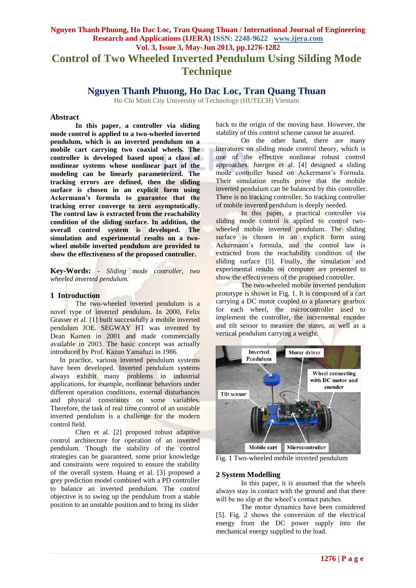## **Nguyen Thanh Phuong, Ho Dac Loc, Tran Quang Thuan / International Journal of Engineering Research and Applications (IJERA) ISSN: 2248-9622 www.ijera.com Vol. 3, Issue 3, May-Jun 2013, pp.1276-1282 Control of Two Wheeled Inverted Pendulum Using Silding Mode Technique**

## **Nguyen Thanh Phuong, Ho Dac Loc, Tran Quang Thuan**

Ho Chi Minh City University of Technology (HUTECH) Vietnam

## **Abstract**

**In this paper, a controller via sliding mode control is applied to a two-wheeled inverted pendulum, which is an inverted pendulum on a mobile cart carrying two coaxial wheels. The controller is developed based upon a class of nonlinear systems whose nonlinear part of the modeling can be linearly parameterized. The tracking errors are defined, then the sliding surface is chosen in an explicit form using Ackermann's formula to guarantee that the tracking error converge to zero asymptotically. The control law is extracted from the reachability condition of the sliding surface. In addition, the overall control system is developed. The simulation and experimental results on a twowheel mobile inverted pendulum are provided to show the effectiveness of the proposed controller.**

**Key-Words:** *- Sliding mode controller, two wheeled inverted pendulum.*

## **1 Introduction**

The two-wheeled inverted pendulum is a novel type of inverted pendulum. In 2000, Felix Grasser et al. [1] built successfully a mobile inverted pendulum JOE. SEGWAY HT was invented by Dean Kamen in 2001 and made commercially available in 2003. The basic concept was actually introduced by Prof. Kazuo Yamafuzi in 1986.

In practice, various inverted pendulum systems have been developed. Inverted pendulum systems always exhibit many problems in industrial applications, for example, nonlinear behaviors under different operation conditions, external disturbances and physical constraints on some variables. Therefore, the task of real time control of an unstable inverted pendulum is a challenge for the modern control field.

Chen et al. [2] proposed robust adaptive control architecture for operation of an inverted pendulum. Though the stability of the control strategies can be guaranteed, some prior knowledge and constraints were required to ensure the stability of the overall system. Huang et al. [3] proposed a grey prediction model combined with a PD controller to balance an inverted pendulum. The control objective is to swing up the pendulum from a stable position to an unstable position and to bring its slider

back to the origin of the moving base. However, the stability of this control scheme cannot be assured.

On the other hand, there are many literatures on sliding mode control theory, which is one of the effective nonlinear robust control approaches. Juergen et al. [4] designed a sliding mode controller based on Ackermann's Formula. Their simulation results prove that the mobile inverted pendulum can be balanced by this controller. There is no tracking controller. So tracking controller of mobile inverted pendulum is deeply needed.

In this paper, a practical controller via sliding mode control is applied to control twowheeled mobile inverted pendulum. The sliding surface is chosen in an explicit form using Ackermann's formula, and the control law is extracted from the reachability condition of the sliding surface [5]. Finally, the simulation and experimental results on computer are presented to show the effectiveness of the proposed controller.

The two-wheeled mobile inverted pendulum prototype is shown in Fig. 1. It is composed of a cart carrying a DC motor coupled to a planetary gearbox for each wheel, the microcontroller used to implement the controller, the incremental encoder and tilt sensor to measure the states, as well as a vertical pendulum carrying a weight.



Fig. 1 Two-wheeled mobile inverted pendulum

## **2 System Modelling**

In this paper, it is assumed that the wheels always stay in contact with the ground and that there will be no slip at the wheel's contact patches.

The motor dynamics have been considered [5]. Fig. 2 shows the conversion of the electrical energy from the DC power supply into the mechanical energy supplied to the load.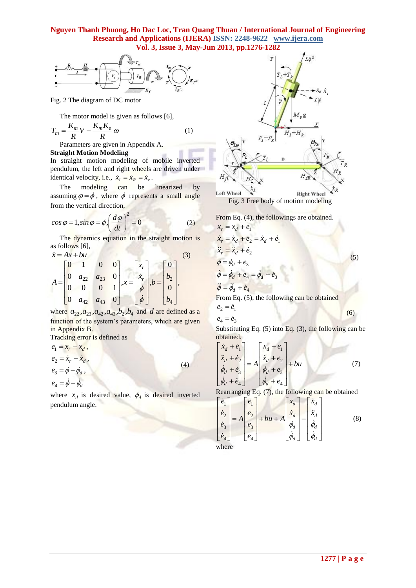## **Nguyen Thanh Phuong, Ho Dac Loc, Tran Quang Thuan / International Journal of Engineering Research and Applications (IJERA) ISSN: 2248-9622 www.ijera.com Vol. 3, Issue 3, May-Jun 2013, pp.1276-1282**



Fig. 2 The diagram of DC motor

The motor model is given as follows [6],

$$
T_m = \frac{K_m}{R} V - \frac{K_m K_e}{R} \omega \tag{1}
$$

Parameters are given in Appendix A.

#### **Straight Motion Modeling**

In straight motion modeling of mobile inverted pendulum, the left and right wheels are driven under identical velocity, i.e.,  $\dot{x}_l = \dot{x}_k = \dot{x}_r$ .

The modeling can be linearized by assuming  $\varphi = \phi$ , where  $\phi$  represents a small angle from the vertical direction,

$$
\cos \varphi = 1, \sin \varphi = \phi, \left(\frac{d\varphi}{dt}\right)^2 = 0 \tag{2}
$$

The dynamics equation in the straight motion is as follows [6],

$$
\dot{x} = Ax + bu
$$
  
\n
$$
A = \begin{bmatrix} 0 & 1 & 0 & 0 \\ 0 & a_{22} & a_{23} & 0 \\ 0 & 0 & 0 & 1 \\ 0 & a_{42} & a_{43} & 0 \end{bmatrix}, x = \begin{bmatrix} x_r \\ \dot{x}_r \\ \phi \\ \dot{\phi} \end{bmatrix}, b = \begin{bmatrix} 0 \\ b_2 \\ 0 \\ b_4 \end{bmatrix},
$$
\n(3)

where  $a_{22}, a_{23}, a_{42}, a_{43}, b_2, b_4$  and d are defined as a function of the system's parameters, which are given in Appendix B.

Tracking error is defined as

$$
e_1 = x_r - x_d,
$$
  
\n
$$
e_2 = \dot{x}_r - \dot{x}_d,
$$
  
\n
$$
e_3 = \phi - \phi_d,
$$
  
\n
$$
e_4 = \dot{\phi} - \dot{\phi}_d
$$
\n(4)

where  $x_d$  is desired value,  $\phi_d$  is desired inverted pendulum angle.



Fig. 3 Free body of motion modeling

From Eq. (4), the followings are obtained.  
\n
$$
x_r = x_d + e_1
$$
\n
$$
\dot{x}_r = \dot{x}_d + e_2 = \dot{x}_d + \dot{e}_1
$$
\n
$$
\ddot{x}_r = \ddot{x}_d + \dot{e}_2
$$
\n
$$
\phi = \phi_d + e_3
$$
\n
$$
\ddot{\phi} = \dot{\phi}_d + e_4 = \dot{\phi}_d + \dot{e}_3
$$
\n
$$
\ddot{\phi} = \ddot{\phi}_d + \dot{e}_4
$$
\nFrom Eq. (5), the following can be obtained  
\n
$$
e_2 = \dot{e}_1
$$
\n(6)

 $e_4 = \dot{e}_3$ Substituting Eq.  $(5)$  into Eq.  $(3)$ , the following can be obtained.

$$
\begin{bmatrix} \dot{x}_d + \dot{e}_1 \\ \ddot{x}_d + \dot{e}_2 \\ \dot{\phi}_d + \dot{e}_3 \\ \dot{\phi}_d + \dot{e}_4 \end{bmatrix} = A \begin{bmatrix} x_d + e_1 \\ \dot{x}_d + e_2 \\ \dot{\phi}_d + e_3 \\ \dot{\phi}_d + e_4 \end{bmatrix} + bu \tag{7}
$$

Rearranging Eq. (7), the following can be obtained  
\n
$$
\begin{bmatrix} \dot{e}_1 \\ \dot{e}_2 \\ \dot{e}_3 \\ \dot{e}_4 \end{bmatrix} = A \begin{bmatrix} e_1 \\ e_2 \\ e_3 \\ e_4 \end{bmatrix} + bu + A \begin{bmatrix} x_d \\ \dot{x}_d \\ \dot{x}_d \\ \dot{\phi}_d \end{bmatrix} - \begin{bmatrix} \dot{x}_d \\ \ddot{x}_d \\ \dot{\phi}_d \end{bmatrix}
$$
\n(8)

where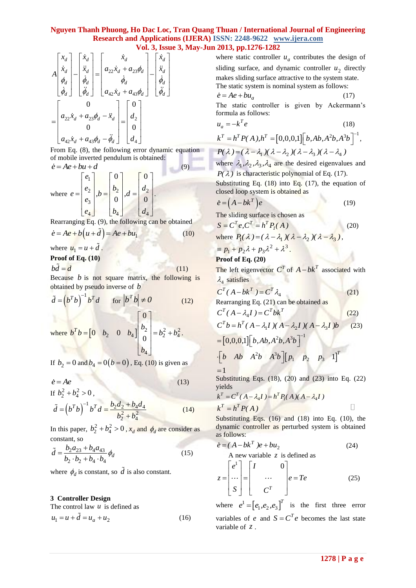# **Nguyen Thanh Phuong, Ho Dac Loc, Tran Quang Thuan / International Journal of Engineering Research and Applications (IJERA) ISSN: 2248-9622 www.ijera.com**

**Vol. 3, Is sue 3, May-Jun 2013, pp.1276-1282**  
\n
$$
A\begin{bmatrix} x_d \\ \dot{x}_d \\ \dot{\phi}_d \\ \dot{\phi}_d \end{bmatrix} = \begin{bmatrix} \dot{x}_d \\ \ddot{x}_d \\ \dot{\phi}_d \\ \ddot{\phi}_d \end{bmatrix} = \begin{bmatrix} \dot{x}_d \\ a_{22}\dot{x}_d + a_{23}\phi_d \\ \dot{\phi}_d \\ a_{42}\dot{x}_d + a_{43}\phi_d - \ddot{x}_d \\ 0 \\ 0 \\ a_{42}\dot{x}_d + a_{43}\phi_d - \ddot{\phi}_d \end{bmatrix} - \begin{bmatrix} \dot{x}_d \\ \ddot{x}_d \\ \dot{\phi}_d \\ \ddot{\phi}_d \end{bmatrix}
$$
\nwhere static controller  
\n with the static system is no  
\n makes sliding surface a  
\n The static system is no  
\n  $\dot{e} = Ae + bu_a$   
\n The static controller  
\n formula as follows:  
\n $u_a = -k^T e$   
\n $k^T = h^T P(A), h^T = [0, \text{ or } k^T] = h^T P(A), h^T = 0$ 

From Eq. (8), the following error dynamic equation of mobile inverted pendulum is obtained:  $\dot{e} = Ae + bu + d$  (9)

.

where 
$$
e = \begin{bmatrix} e_1 \\ e_2 \\ e_3 \\ e_4 \end{bmatrix}
$$
,  $b = \begin{bmatrix} 0 \\ b_2 \\ 0 \\ b_4 \end{bmatrix}$ ,  $d = \begin{bmatrix} 0 \\ d_2 \\ 0 \\ d_4 \end{bmatrix}$ .

Rearranging Eq. (9), the following can be obtained

$$
\dot{e} = Ae + b\left(u + \tilde{d}\right) = Ae + bu_1\tag{10}
$$

where  $u_1 = u + d$ .

#### **Proof of Eq. (10)**

$$
bd = d \tag{11}
$$

Because  $b$  is not square matrix, the following is obtained by pseudo inverse of *b*

$$
\tilde{d} = (b^T b)^{-1} b^T d \quad \text{for } |b^T b| \neq 0 \tag{12}
$$
\nwhere  $b^T b = [0 \quad b_2 \quad 0 \quad b_4] \begin{bmatrix} 0 \\ b_2 \\ 0 \\ b_4 \end{bmatrix} = b_2^2 + b_4^2$ .

If  $b_2 = 0$  and  $b_4 = 0(b = 0)$ , Eq. (10) is given as

<sup>'</sup>4

*b*

$$
\dot{e} = Ae
$$
\nIf  $b_2^2 + b_4^2 > 0$ , (13)

$$
\tilde{d} = (b^T b)^{-1} b^T d = \frac{b_2 d_2 + b_4 d_4}{b_2^2 + b_4^2}
$$
\n(14)

In this paper,  $b_2^2 + b_4^2 > 0$ ,  $x_d$  and  $\phi_d$  are consider as constant, so

$$
\tilde{d} = \frac{b_2 a_{23} + b_4 a_{43}}{b_2 \cdot b_2 + b_4 \cdot b_4} \phi_d
$$
\n(15)

where  $\phi_d$  is constant, so d is also constant.

## **3 Controller Design**

The control law  $u$  is defined as

$$
u_1 = u + \tilde{d} = u_a + u_2 \tag{16}
$$

where static controller  $u_a$  contributes the design of sliding surface, and dynamic controller  $u_2$  directly makes sliding surface attractive to the system state. The static system is nominal system as follows:  $\dot{e} = Ae + bu_a$  (17)

The static controller is given by Ackermann's formula as follows:

$$
u_a = -k^T e
$$
 (18)  
\n
$$
k^T = h^T P(A), h^T = [0, 0, 0, 1] [b, Ab, A^2 b, A^3 b]^{-1},
$$
  
\n
$$
P(\lambda) = (\lambda - \lambda_1) (\lambda - \lambda_2) (\lambda - \lambda_3) (\lambda - \lambda_4)
$$
  
\nwhere  $\lambda_1, \lambda_2, \lambda_3, \lambda_4$  are the desired eigenvalues and  
\n $P(\lambda)$  is characteristic polynomial of Eq. (17).  
\nSubstituting Eq. (18) into Eq. (17) the equation of

Substituting Eq. (18) into Eq. (17), the equation of closed loop system is obtained as

$$
\dot{e} = \left(A - bk^T\right)e\tag{19}
$$

The sliding surface is chosen as

$$
S = CT e, CT = hT P1(A)
$$
  
where  $P_1(\lambda) = (\lambda - \lambda_1)(\lambda - \lambda_2)(\lambda - \lambda_3)$ , (20)

$$
\equiv p_1 + p_2 \lambda + p_3 \lambda^2 + \lambda^3.
$$

## **Proof of Eq. (20)**

The left eigenvector  $C^T$  of  $A - bk^T$  associated with  $\lambda_4$  satisfies

$$
C^T(A-bk^T) = C^T \lambda_4 \tag{21}
$$

Rearranging Eq. (21) can be obtained as

$$
C^{T}(A - \lambda_{4}I) = C^{T}bk^{T}
$$
\n
$$
C^{T}b = h^{T}(A - \lambda_{1}I)(A - \lambda_{2}I)(A - \lambda_{3}I)b
$$
\n(22)

$$
= [0,0,0,1] \Big[ b, Ab, A^2b, A^3b \Big]^{-1}
$$
  
=  $[0,0,0,1] \Big[ b, Ab, A^2b, A^3b \Big]^{-1}$   

$$
\Big[ b \quad Ab \quad A^2b \quad A^3b \Big] \Big[ p_1 \quad p_2 \quad p_3 \quad 1 \Big]^T
$$

$$
\begin{bmatrix} b & Ab & A^2b & A^3b \end{bmatrix} \begin{bmatrix} p_1 & p_2 & p_3 & 1 \end{bmatrix}^T
$$
  
= 1

Substituting Eqs. (18), (20) and (23) into Eq. (22) yields *T T T k C ( A I ) h P( A )( A I )*

$$
k^{T} = C^{T} (A - \lambda_{4} I) = h^{T} P_{1}(A) (A - \lambda_{4} I)
$$
  

$$
k^{T} = h^{T} P(A)
$$

Substituting Eqs.  $(16)$  and  $(18)$  into Eq.  $(10)$ , the dynamic controller as perturbed system is obtained as follows:

$$
\dot{e} = (A - bk^{T})e + bu_{2}
$$
\n(A new variable z is defined as\n
$$
z = \begin{bmatrix} e^{1} \\ \cdots \\ S \end{bmatrix} = \begin{bmatrix} I & 0 \\ \cdots \\ C^{T} \end{bmatrix} e = Te
$$
\n(25)

where  $e^1 = [e_1, e_2, e_3]$  $e^1 = [e_1, e_2, e_3]^T$  is the first three error variables of *e* and  $S = C^T e$  becomes the last state variable of *z* .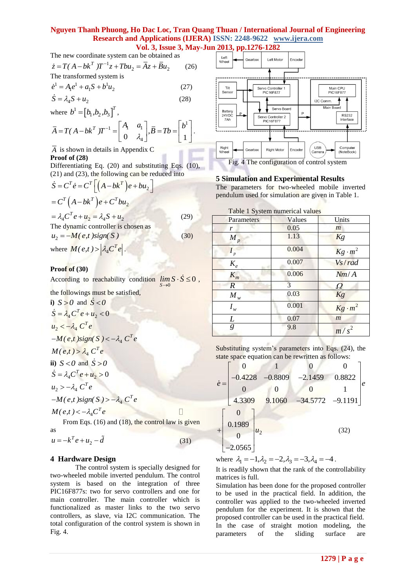## **Nguyen Thanh Phuong, Ho Dac Loc, Tran Quang Thuan / International Journal of Engineering Research and Applications (IJERA) ISSN: 2248-9622 www.ijera.com Vol. 3, Issue 3, May-Jun 2013, pp.1276-1282**

The new coordinate system can be obtained as  
\n
$$
\dot{z} = T(A - bk^T)T^{-1}z + Tbu_2 = \overline{A}z + \overline{B}u_2
$$
\n(26)  
\nThe transformed system is

$$
\dot{e}^1 = A_1 e^1 + a_1 S + b^1 u_2 \tag{27}
$$

$$
\dot{S} = \lambda_4 S + u_2 \tag{28}
$$

where  $b^{1} = [b_{1}, b_{2}, b_{3}]^{T}$  $b^1 = [b_1, b_2, b_3]^T$ ,

where 
$$
b^1 = [b_1, b_2, b_3]^T
$$
,  
\n
$$
\overline{A} = T(A - bk^T)T^{-1} = \begin{bmatrix} A_1 & a_1 \\ 0 & \lambda_4 \end{bmatrix}, \overline{B} = Tb = \begin{bmatrix} b^1 \\ 1 \end{bmatrix}.
$$

#### *A* is shown in details in Appendix C **Proof of (28)**

Differentiating Eq. (20) and substituting Eqs. (10),

(21) and (23), the following can be reduced into  
\n
$$
\dot{S} = C^T \dot{e} = C^T \left[ \left( A - bk^T \right) e + bu_2 \right]
$$
\n
$$
= C^T \left( A - bk^T \right) e + C^T bu_2
$$
\n
$$
= \lambda_4 C^T e + u_2 = \lambda_4 S + u_2 \tag{29}
$$
\nThe dynamic controller is chosen as  
\n
$$
u_2 = -M (e, t) sign(S) \tag{30}
$$

where  $M(e,t) > \left| \lambda_4 C^T e \right|$ .

## **Proof of (30)**

According to reachability condition  $\lim S \cdot S \le 0$ ,  $\overline{0}$ *S*  $\rightarrow$ 

the followings must be satisfied,

**i**)  $S > 0$  and  $\dot{S} < 0$  $\dot{S} = \lambda_4 C^T e + u_2 < 0$  $u_2 < -\lambda_4$   $C^T e$  $-M(e,t)$ sign(S) <  $-\lambda_4 C^T e$  $M(e,t) > \lambda_4 C^T e$ **ii**)  $S < 0$  and  $\dot{S} > 0$  $\dot{S} = \lambda_4 C^T e + u_2 > 0$  $u_2$  >  $-\lambda_4 C^T e$  $-M(e,t)$ sign(S) >  $-\lambda_4 C^T e$ 

$$
M(e,t) < -\lambda_4 C^T e
$$

From Eqs. (16) and (18), the control law is given as

 $\Box$ 

$$
u = -k^T e + u_2 - \tilde{d}
$$
 (31)

## **4 Hardware Design**

The control system is specially designed for two-wheeled mobile inverted pendulum. The control system is based on the integration of three PIC16F877s: two for servo controllers and one for main controller. The main controller which is functionalized as master links to the two servo controllers, as slave, via I2C communication. The total configuration of the control system is shown in Fig. 4.



## **5 Simulation and Experimental Results**

The parameters for two-wheeled mobile inverted pendulum used for simulation are given in Table 1.

|  | Table 1 System numerical values |  |
|--|---------------------------------|--|
|  |                                 |  |

| Parameters       | Values | Units            |
|------------------|--------|------------------|
| r                | 0.05   | $\boldsymbol{m}$ |
| $M_p$            | 1.13   | Kg               |
| $I_p$            | 0.004  | $Kg \cdot m^2$   |
| $K_e$            | 0.007  | Vs / rad         |
| $K_m$            | 0.006  | Nm/A             |
| $\boldsymbol{R}$ | 3      | $\Omega$         |
| $M_w$            | 0.03   | Kg               |
| $I_w$            | 0.001  | $Kg \cdot m^2$   |
| $\underline{L}$  | 0.07   | $\boldsymbol{m}$ |
| $\overline{g}$   | 9.8    | $m/s^2$          |

Substituting system's parameters into Eqs. (24), the

Substituting system 3 parameters into Eqs. (24), the state space equation can be rewritten as follows:

\n
$$
\dot{e} = \begin{bmatrix}\n0 & 1 & 0 & 0 \\
-0.4228 & -0.8809 & -2.1459 & 0.8822 \\
0 & 0 & 0 & 1 \\
4.3309 & 9.1060 & -34.5772 & -9.1191\n\end{bmatrix} e
$$
\n
$$
+ \begin{bmatrix}\n0 \\
0.1989 \\
0 \\
-2.0565\n\end{bmatrix} u_2
$$
\n(32)

where  $\lambda_1 = -1, \lambda_2 = -2, \lambda_3 = -3, \lambda_4 = -4$ .

It is readily shown that the rank of the controllability matrices is full.

Simulation has been done for the proposed controller to be used in the practical field. In addition, the controller was applied to the two-wheeled inverted pendulum for the experiment. It is shown that the proposed controller can be used in the practical field. In the case of straight motion modeling, the parameters of the sliding surface are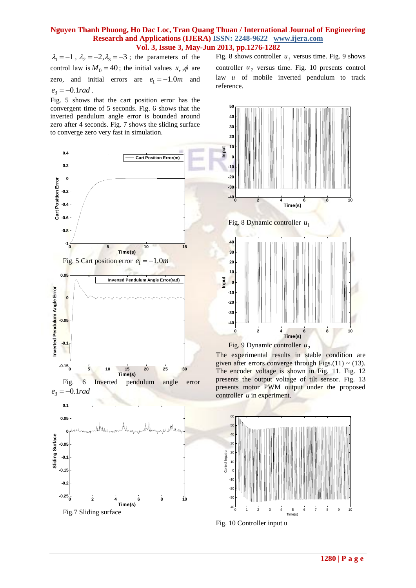## **Nguyen Thanh Phuong, Ho Dac Loc, Tran Quang Thuan / International Journal of Engineering Research and Applications (IJERA) ISSN: 2248-9622 www.ijera.com Vol. 3, Issue 3, May-Jun 2013, pp.1276-1282**

 $\lambda_1 = -1$ ,  $\lambda_2 = -2$ ,  $\lambda_3 = -3$ ; the parameters of the control law is  $M_0 = 40$ ; the initial values  $x_r$ ,  $\phi$  are zero, and initial errors are  $e_1 = -1.0m$  and  $e_3 = -0.1 rad$ .

Fig. 5 shows that the cart position error has the convergent time of 5 seconds. Fig. 6 shows that the inverted pendulum angle error is bounded around zero after 4 seconds. Fig. 7 shows the sliding surface to converge zero very fast in simulation.



**Time(s)**

Fig.7 Sliding surface

Fig. 8 shows controller  $u_1$  versus time. Fig. 9 shows controller  $u_2$  versus time. Fig. 10 presents control law *u* of mobile inverted pendulum to track reference.



The experimental results in stable condition are given after errors converge through Figs.(11)  $\sim$  (13). The encoder voltage is shown in Fig. 11. Fig. 12 presents the output voltage of tilt sensor. Fig. 13 presents motor PWM output under the proposed controller *u* in experiment.





**1280 | P a g e**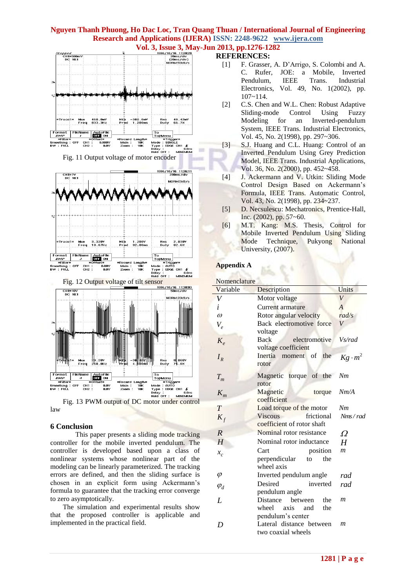# **Nguyen Thanh Phuong, Ho Dac Loc, Tran Quang Thuan / International Journal of Engineering Research and Applications (IJERA) ISSN: 2248-9622 www.ijera.com Vol. 3, Issue 3, May-Jun 2013, pp.1276-1282**<br> **REFERENCES**:





law

#### **6 Conclusion**

This paper presents a sliding mode tracking controller for the mobile inverted pendulum. The controller is developed based upon a class of nonlinear systems whose nonlinear part of the modeling can be linearly parameterized. The tracking errors are defined, and then the sliding surface is chosen in an explicit form using Ackermann's formula to guarantee that the tracking error converge to zero asymptotically.

The simulation and experimental results show that the proposed controller is applicable and implemented in the practical field.

## **REFERENCES:**

- [1] F. Grasser, A. D'Arrigo, S. Colombi and A. C. Rufer, JOE: a Mobile, Inverted Pendulum, IEEE Trans. Industrial Electronics, Vol. 49, No. 1(2002), pp. 107~114.
- [2] C.S. Chen and W.L. Chen: Robust Adaptive Sliding-mode Control Using Fuzzy Modeling for an Inverted-pendulum System, IEEE Trans. Industrial Electronics, Vol. 45, No. 2(1998), pp. 297~306.
- [3] S.J. Huang and C.L. Huang: Control of an Inverted Pendulum Using Grey Prediction Model, IEEE Trans. Industrial Applications, Vol. 36, No. 2(2000), pp. 452~458.
- [4] J. Ackermann and V. Utkin: Sliding Mode Control Design Based on Ackermann's Formula, IEEE Trans. Automatic Control, Vol. 43, No. 2(1998), pp. 234~237.
- [5] D. Necsulescu: Mechatronics, Prentice-Hall, Inc. (2002), pp. 57~60.
- [6] M.T. Kang: M.S. Thesis, Control for Mobile Inverted Pendulum Using Sliding Mode Technique, Pukyong National University, (2007).

#### **Appendix A**

| Nomenclature |  |
|--------------|--|

| Variable       | Description                                                                 | Units          |
|----------------|-----------------------------------------------------------------------------|----------------|
| V              | Motor voltage                                                               | V              |
| i              | Current armature                                                            | $\overline{A}$ |
| $\omega$       | Rotor angular velocity                                                      | rad/s          |
| $V_e$          | Back electromotive force<br>voltage                                         | V              |
| $K_{\rho}$     | Back<br>electromotive<br>voltage coefficient                                | Vs/rad         |
| $I_R$          | Inertia moment of<br>the<br>rotor                                           | $Kg \cdot m^2$ |
| $T_m$          | Magnetic torque of the<br>rotor                                             | Nm             |
| $K_m$          | Magnetic<br>torque<br>coefficient                                           | Nm/A           |
| T              | Load torque of the motor                                                    | Nm             |
| $K_f$          | <b>Viscous</b><br>frictional<br>coefficient of rotor shaft                  | Nms/rad        |
| $\overline{R}$ | Nominal rotor resistance                                                    | Ω              |
| H              | Nominal rotor inductance                                                    | H              |
| $x_c$          | Cart<br>position<br>perpendicular<br>the<br>to<br>wheel axis                | m              |
| $\varphi$      | Inverted pendulum angle                                                     | rad            |
| $\varphi_d$    | Desired<br>inverted<br>pendulum angle                                       | rad            |
| $\bm{I}$       | between<br>Distance<br>the<br>wheel axis<br>the<br>and<br>pendulum's center | m              |
| D              | Lateral distance between<br>two coaxial wheels                              | m              |